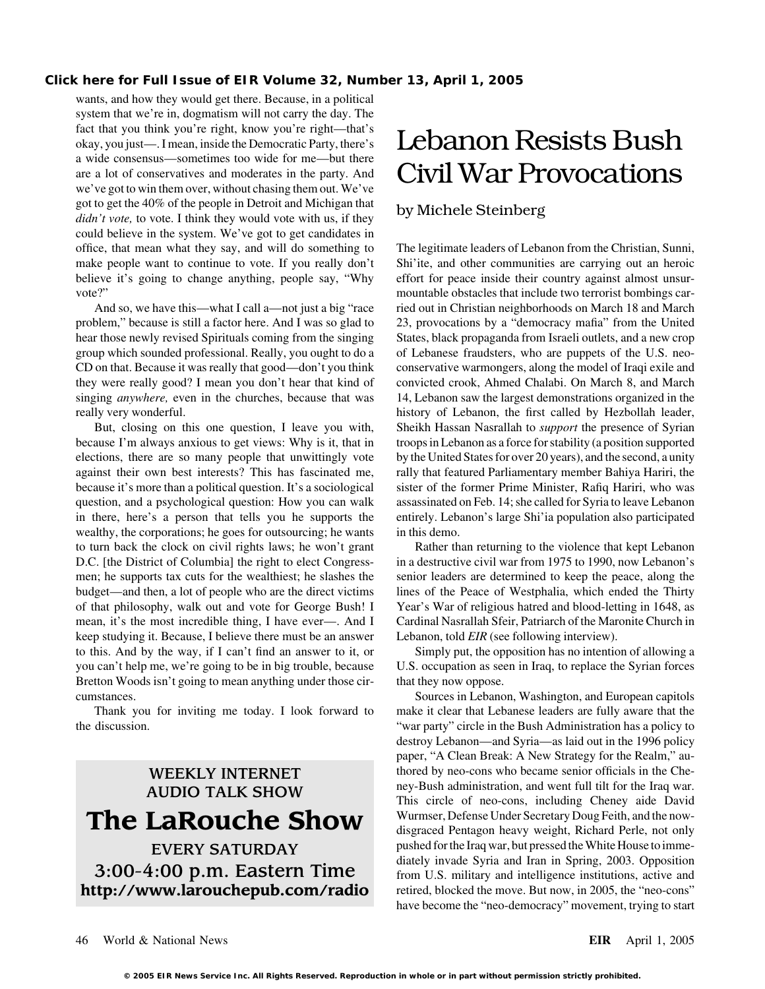wants, and how they would get there. Because, in a political system that we're in, dogmatism will not carry the day. The fact that you think you're right, know you're right—that's okay, you just—. I mean, inside the Democratic Party, there's Lebanon Resists Bush a wide consensus—sometimes too wide for me—but there are a lot of conservatives and moderates in the party. And  $Civil War Provocations$ we've got to win them over, without chasing them out. We've got to get the 40% of the people in Detroit and Michigan that by Michele Steinberg *didn't vote*, to vote. I think they would vote with us, if they could believe in the system. We've got to get candidates in office, that mean what they say, and will do something to The legitimate leaders of Lebanon from the Christian, Sunni, make people want to continue to vote. If you really don't Shi'ite, and other communities are carrying out an heroic believe it's going to change anything, people say, "Why effort for peace inside their country against almost unsurvote?" subsequently mountable obstacles that include two terrorist bombings car-

problem," because is still a factor here. And I was so glad to 23, provocations by a "democracy mafia" from the United hear those newly revised Spirituals coming from the singing States, black propaganda from Israeli outlets, and a new crop group which sounded professional. Really, you ought to do a of Lebanese fraudsters, who are puppets of the U.S. neo-CD on that. Because it was really that good—don't you think conservative warmongers, along the model of Iraqi exile and they were really good? I mean you don't hear that kind of convicted crook, Ahmed Chalabi. On March 8, and March singing *anywhere*, even in the churches, because that was 14, Lebanon saw the largest demonstrations organized in the really very wonderful. https://www.bistory of Lebanon, the first called by Hezbollah leader,

because I'm always anxious to get views: Why is it, that in troops in Lebanon as a force for stability (a position supported elections, there are so many people that unwittingly vote by the United States for over 20 years), and the second, a unity against their own best interests? This has fascinated me, rally that featured Parliamentary member Bahiya Hariri, the because it's more than a political question. It's a sociological sister of the former Prime Minister, Rafiq Hariri, who was question, and a psychological question: How you can walk assassinated on Feb. 14; she called for Syria to leave Lebanon in there, here's a person that tells you he supports the entirely. Lebanon's large Shi'ia population also participated wealthy, the corporations; he goes for outsourcing; he wants in this demo. to turn back the clock on civil rights laws; he won't grant Rather than returning to the violence that kept Lebanon D.C. [the District of Columbia] the right to elect Congress- in a destructive civil war from 1975 to 1990, now Lebanon's men; he supports tax cuts for the wealthiest; he slashes the senior leaders are determined to keep the peace, along the budget—and then, a lot of people who are the direct victims lines of the Peace of Westphalia, which ended the Thirty of that philosophy, walk out and vote for George Bush! I Year's War of religious hatred and blood-letting in 1648, as mean, it's the most incredible thing, I have ever—. And I Cardinal Nasrallah Sfeir, Patriarch of the Maronite Church in keep studying it. Because, I believe there must be an answer Lebanon, told *EIR* (see following interview). to this. And by the way, if I can't find an answer to it, or Simply put, the opposition has no intention of allowing a you can't help me, we're going to be in big trouble, because U.S. occupation as seen in Iraq, to replace the Syrian forces Bretton Woods isn't going to mean anything under those cir-<br>that they now oppose.

the discussion. "war party" circle in the Bush Administration has a policy to

And so, we have this—what I call a—not just a big "race ried out in Christian neighborhoods on March 18 and March But, closing on this one question, I leave you with, Sheikh Hassan Nasrallah to *support* the presence of Syrian

cumstances. Sources in Lebanon, Washington, and European capitols Thank you for inviting me today. I look forward to make it clear that Lebanese leaders are fully aware that the destroy Lebanon—and Syria—as laid out in the 1996 policy paper, "A Clean Break: A New Strategy for the Realm," au-WEEKLY INTERNET thored by neo-cons who became senior officials in the Che-<br>AUDIO TALK SHOW ney-Bush administration, and went full tilt for the Iraq war. AUDIO TALK SHOW This circle of neo-cons, including Cheney aide David **The LaRouche Show** Wurmser, Defense Under Secretary Doug Feith, and the now-<br>disgraced Pentagon heavy weight, Richard Perle, not only EVERY SATURDAY pushed for the Iraq war, but pressed the White House to imme-<br>diately invade Syria and Iran in Spring, 2003. Opposition 3:00-4:00 p.m. Eastern Time from U.S. military and intelligence institutions, active and http://www.larouchepub.com/radio retired, blocked the move. But now, in 2005, the "neo-cons" have become the "neo-democracy" movement, trying to start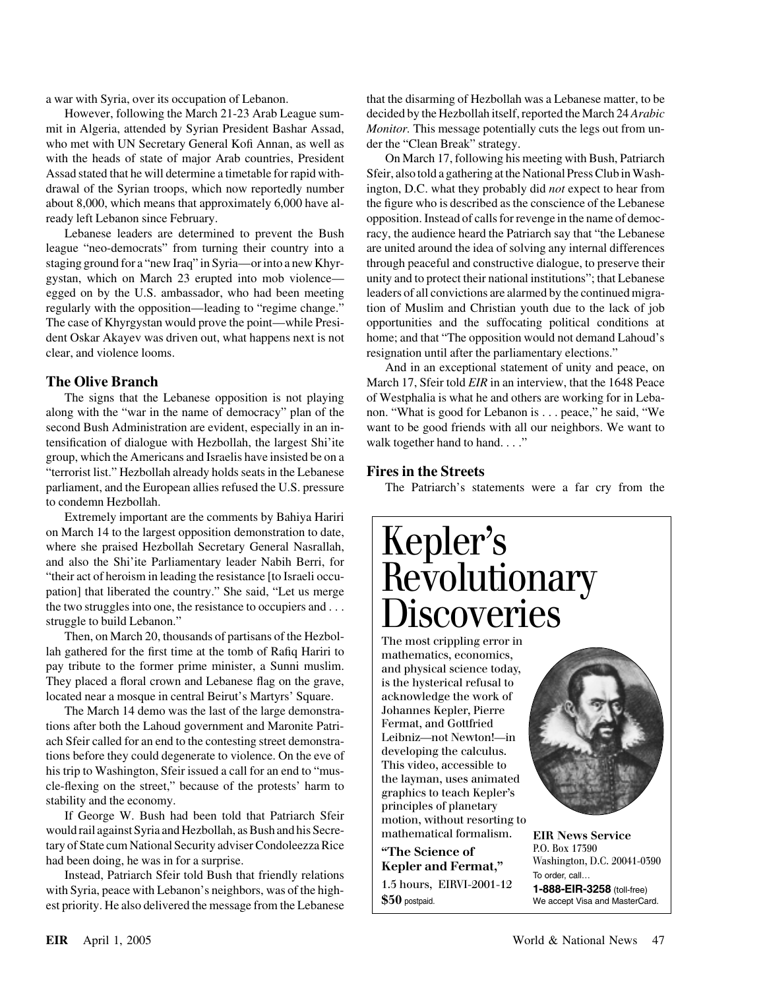mit in Algeria, attended by Syrian President Bashar Assad, *Monitor.* This message potentially cuts the legs out from unwho met with UN Secretary General Kofi Annan, as well as der the "Clean Break" strategy. with the heads of state of major Arab countries, President On March 17, following his meeting with Bush, Patriarch Assad stated that he will determine a timetable for rapid with- Sfeir, also told a gathering at the National Press Club in Washdrawal of the Syrian troops, which now reportedly number ington, D.C. what they probably did *not* expect to hear from about 8,000, which means that approximately 6,000 have al- the figure who is described as the conscience of the Lebanese

league "neo-democrats" from turning their country into a are united around the idea of solving any internal differences staging ground for a "new Iraq" in Syria—or into a new Khyr- through peaceful and constructive dialogue, to preserve their gystan, which on March 23 erupted into mob violence— unity and to protect their national institutions"; that Lebanese egged on by the U.S. ambassador, who had been meeting leaders of all convictions are alarmed by the continued migraregularly with the opposition—leading to "regime change." tion of Muslim and Christian youth due to the lack of job The case of Khyrgystan would prove the point—while Presi- opportunities and the suffocating political conditions at dent Oskar Akayev was driven out, what happens next is not home; and that "The opposition would not demand Lahoud's clear, and violence looms. resignation until after the parliamentary elections."

along with the "war in the name of democracy" plan of the non. "What is good for Lebanon is . . . peace," he said, "We second Bush Administration are evident, especially in an in- want to be good friends with all our neighbors. We want to tensification of dialogue with Hezbollah, the largest Shi'ite walk together hand to hand. . . ." group, which the Americans and Israelis have insisted be on a "terrorist list." Hezbollah already holds seats in the Lebanese **Fires in the Streets** parliament, and the European allies refused the U.S. pressure The Patriarch's statements were a far cry from the to condemn Hezbollah.

Extremely important are the comments by Bahiya Hariri on March 14 to the largest opposition demonstration to date, where she praised Hezbollah Secretary General Nasrallah, and also the Shi'ite Parliamentary leader Nabih Berri, for "their act of heroism in leading the resistance [to Israeli occupation] that liberated the country." She said, "Let us merge the two struggles into one, the resistance to occupiers and . . . struggle to build Lebanon."

Then, on March 20, thousands of partisans of the Hezbollah gathered for the first time at the tomb of Rafiq Hariri to pay tribute to the former prime minister, a Sunni muslim. They placed a floral crown and Lebanese flag on the grave, located near a mosque in central Beirut's Martyrs' Square.

The March 14 demo was the last of the large demonstrations after both the Lahoud government and Maronite Patriach Sfeir called for an end to the contesting street demonstrations before they could degenerate to violence. On the eve of his trip to Washington, Sfeir issued a call for an end to "muscle-flexing on the street," because of the protests' harm to stability and the economy.

If George W. Bush had been told that Patriarch Sfeir would rail against Syria and Hezbollah, as Bush and his Secretary of State cum National Security adviser Condoleezza Rice had been doing, he was in for a surprise.

Instead, Patriarch Sfeir told Bush that friendly relations with Syria, peace with Lebanon's neighbors, was of the highest priority. He also delivered the message from the Lebanese

a war with Syria, over its occupation of Lebanon. that the disarming of Hezbollah was a Lebanese matter, to be However, following the March 21-23 Arab League sum- decided by the Hezbollah itself, reported the March 24 *Arabic*

ready left Lebanon since February.  $opposition.$  Instead of calls for revenge in the name of democ-Lebanese leaders are determined to prevent the Bush racy, the audience heard the Patriarch say that "the Lebanese"

And in an exceptional statement of unity and peace, on **The Olive Branch** March 17, Sfeir told *EIR* in an interview, that the 1648 Peace The signs that the Lebanese opposition is not playing of Westphalia is what he and others are working for in Leba-

# Kepler's Revolutionary **Discoveries**

The most crippling error in mathematics, economics, and physical science today, is the hysterical refusal to acknowledge the work of Johannes Kepler, Pierre Fermat, and Gottfried Leibniz—not Newton!—in developing the calculus. This video, accessible to the layman, uses animated graphics to teach Kepler's principles of planetary motion, without resorting to mathematical formalism.

**"The Science of Kepler and Fermat,"**  1.5 hours, EIRVI-2001-12 **\$50** postpaid.



**EIR News Service** P.O. Box 17390 Washington, D.C. 20041-0390 To order, call… **1-888-EIR-3258** (toll-free) We accept Visa and MasterCard.